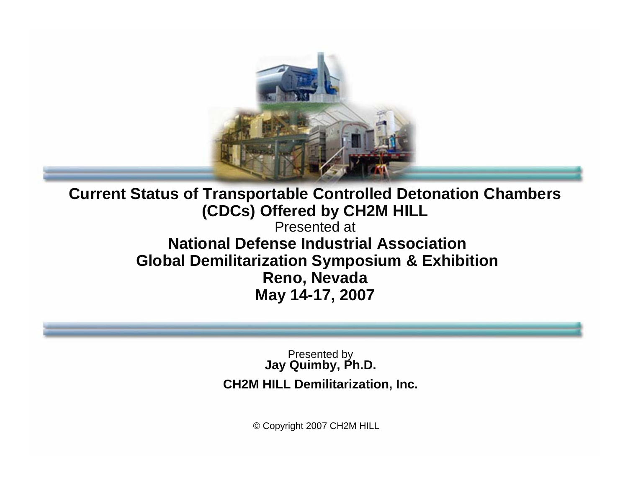

**Current Status of Transportable Controlled Detonation Chambers (CDCs) Offered by CH2M HILL**  Presented at**National Defense Industrial AssociationGlobal Demilitarization Symposium & Exhibition Reno, Nevada May 14-17, 2007**

> Presented by **Jay Quimby, Ph.D. CH2M HILL Demilitarization, Inc.**

> > © Copyright 2007 CH2M HILL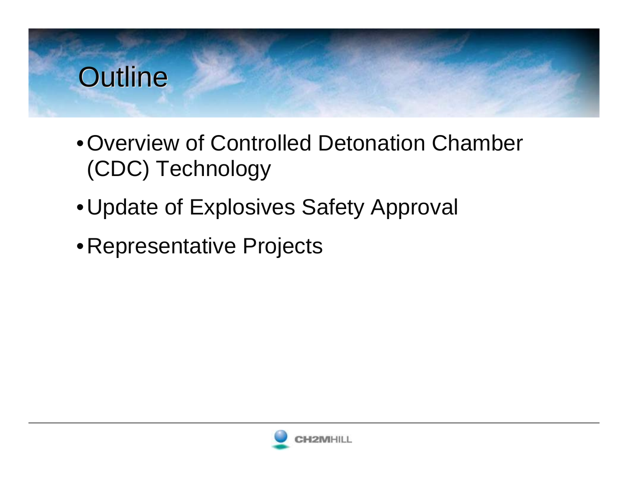#### **Outline**

- •Overview of Controlled Detonation Chamber (CDC) Technology
- •Update of Explosives Safety Approval
- •Representative Projects

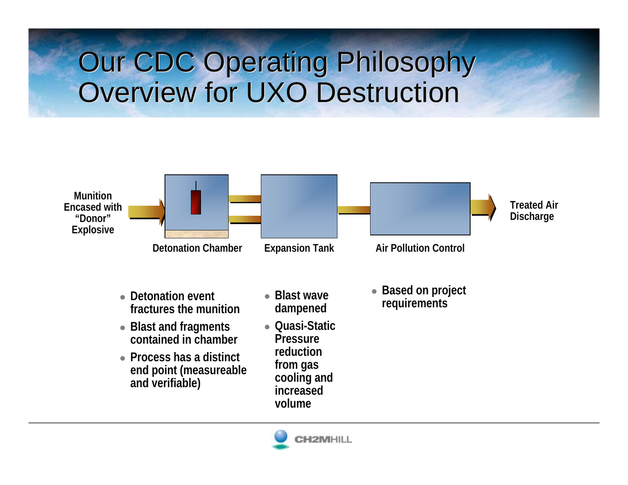### Our CDC Operating Philosophy Our CDC Operating Philosophy Overview for UXO Destruction Overview for UXO Destruction



- Detonation event **fractures the munition**
- Blast and fragments **contained in chamber**
- Process has a distinct **end point (measureable and verifiable)**
- **Blast wave dampened**
- z **Quasi-Static Pressure reduction from gas cooling and increased volume**
- Based on project **requirements**

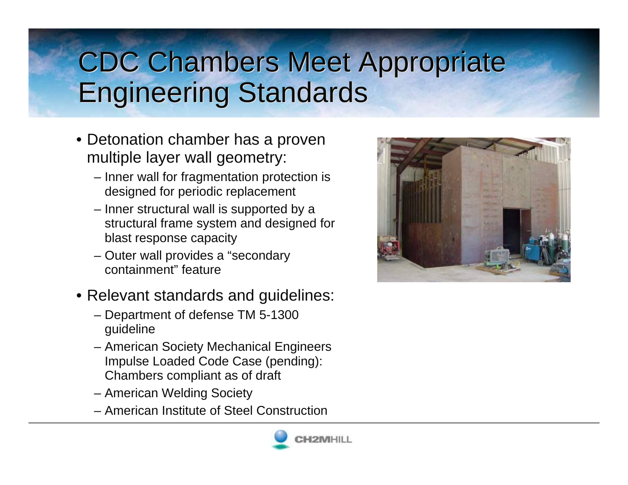# CDC Chambers Meet Appropriate CDC Chambers Meet Appropriate Engineering Standards Engineering Standards

- Detonation chamber has a proven multiple layer wall geometry:
	- Inner wall for fragmentation protection is designed for periodic replacement
	- Inner structural wall is supported by a structural frame system and designed for blast response capacity
	- Outer wall provides a "secondary containment" feature
- Relevant standards and guidelines:
	- Department of defense TM 5-1300 guideline
	- American Society Mechanical Engineers Impulse Loaded Code Case (pending): Chambers compliant as of draft
	- American Welding Society
	- American Institute of Steel Construction



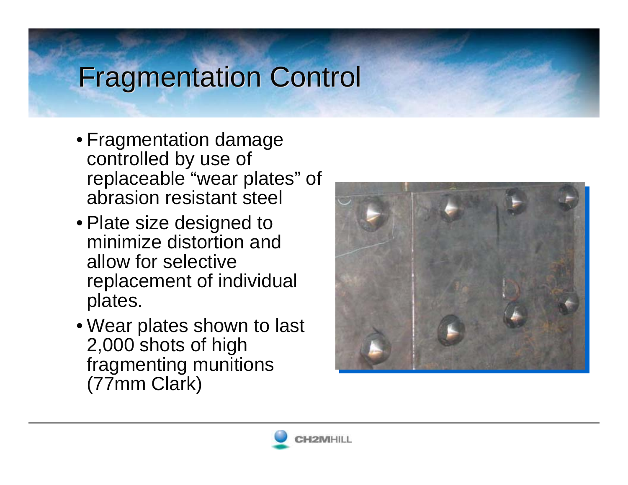#### **Fragmentation Control**

- Fragmentation damage controlled by use of replaceable "wear plates" of abrasion resistant steel
- Plate size designed to minimize distortion and allow for selective replacement of individual plates.
- Wear plates shown to last 2,000 shots of high fragmenting munitions (77mm Clark)



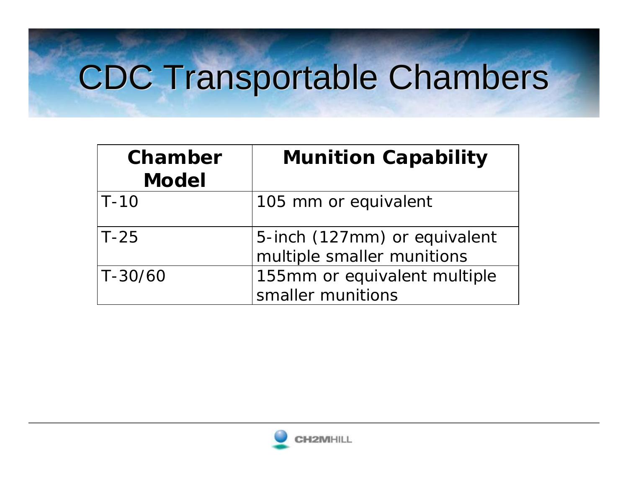# CDC Transportable Chambers

| Chamber<br><b>Model</b> | <b>Munition Capability</b>                                 |
|-------------------------|------------------------------------------------------------|
| $ T-10\rangle$          | 105 mm or equivalent                                       |
| $T-25$                  | 5-inch (127mm) or equivalent<br>multiple smaller munitions |
| T-30/60                 | 155mm or equivalent multiple<br>smaller munitions          |

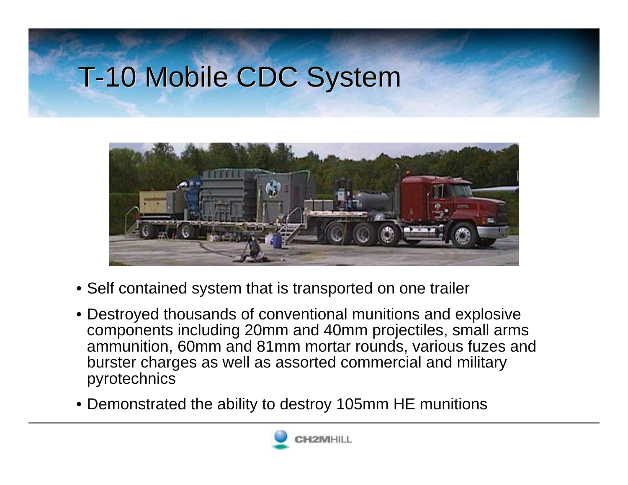# T-10 Mobile CDC System



- Self contained system that is transported on one trailer
- Destroyed thousands of conventional munitions and explosive components including 20mm and 40mm projectiles, small arms ammunition, 60mm and 81mm mortar rounds, various fuzes and burster charges as well as assorted commercial and military pyrotechnics
- Demonstrated the ability to destroy 105mm HE munitions

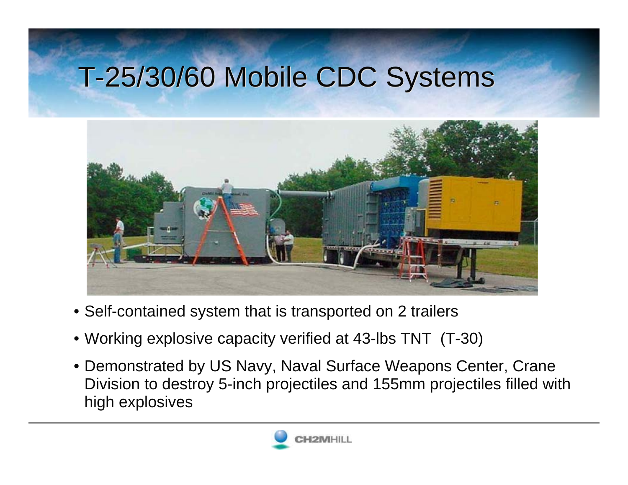### T-25/30/60 Mobile CDC Systems T-25/30/60 Mobile CDC Systems



- Self-contained system that is transported on 2 trailers
- Working explosive capacity verified at 43-lbs TNT (T-30)
- Demonstrated by US Navy, Naval Surface Weapons Center, Crane Division to destroy 5-inch projectiles and 155mm projectiles filled with high explosives

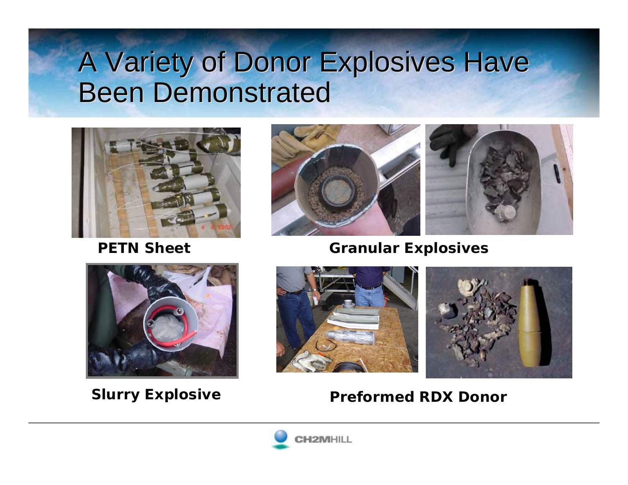#### A Variety of Donor Explosives Have A Variety of Donor Explosives Have Been Demonstrated



**PETN Sheet**



#### **Granular Explosives**





#### **Slurry Explosive <b>Preformed RDX Donor**

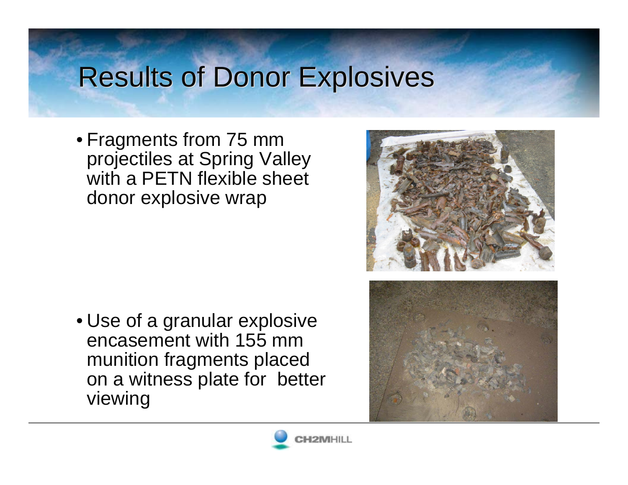## **Results of Donor Explosives**

• Fragments from 75 mm projectiles at Spring Valley with a PETN flexible sheet donor explosive wrap

• Use of a granular explosive encasement with 155 mm munition fragments placed on a witness plate for better viewing





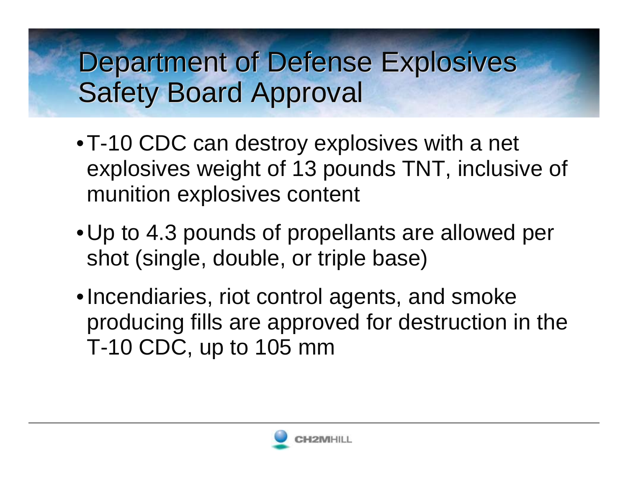### Department of Defense Explosives Department of Defense Explosives Safety Board Approval Safety Board Approval

- •T-10 CDC can destroy explosives with a net explosives weight of 13 pounds TNT, inclusive of munition explosives content
- •Up to 4.3 pounds of propellants are allowed per shot (single, double, or triple base)
- •Incendiaries, riot control agents, and smoke producing fills are approved for destruction in the T-10 CDC, up to 105 mm

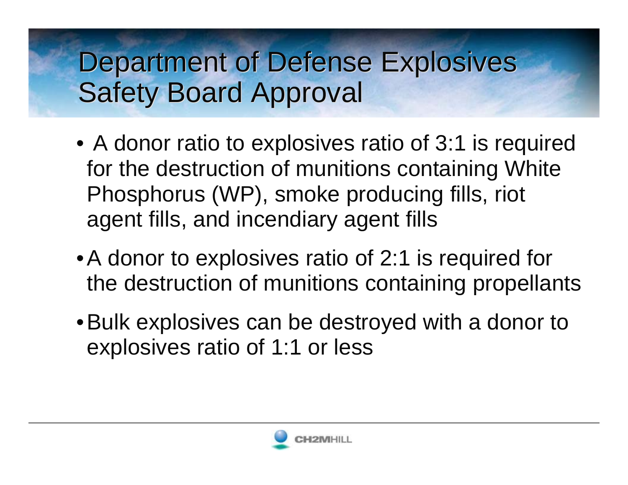### Department of Defense Explosives Department of Defense Explosives Safety Board Approval Safety Board Approval

- A donor ratio to explosives ratio of 3:1 is required for the destruction of munitions containing White Phosphorus (WP), smoke producing fills, riot agent fills, and incendiary agent fills
- •A donor to explosives ratio of 2:1 is required for the destruction of munitions containing propellants
- •Bulk explosives can be destroyed with a donor to explosives ratio of 1:1 or less

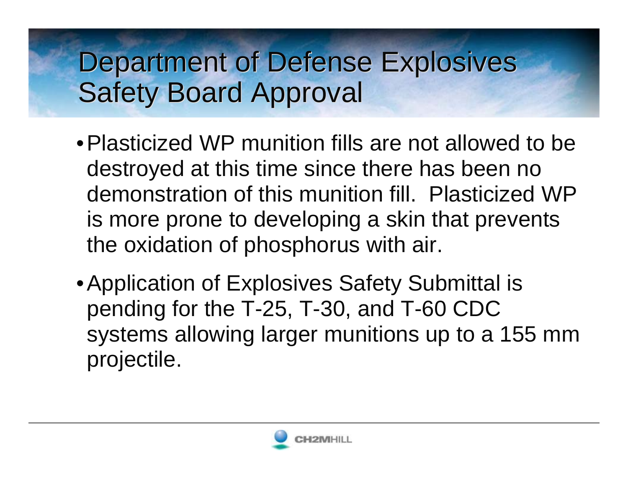### Department of Defense Explosives Department of Defense Explosives Safety Board Approval Safety Board Approval

- •Plasticized WP munition fills are not allowed to be destroyed at this time since there has been no demonstration of this munition fill. Plasticized WP is more prone to developing a skin that prevents the oxidation of phosphorus with air.
- Application of Explosives Safety Submittal is pending for the T-25, T-30, and T-60 CDC systems allowing larger munitions up to a 155 mm projectile.

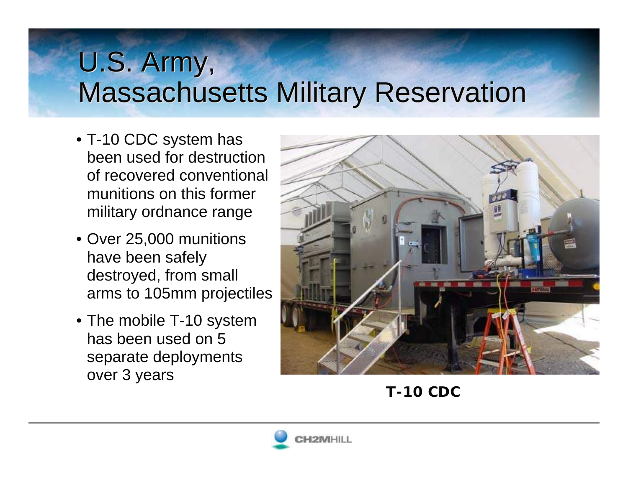# U.S. Army, U.S. Army, Massachusetts Military Reservation Massachusetts Military Reservation

- T-10 CDC system has been used for destruction of recovered conventional munitions on this former military ordnance range
- Over 25,000 munitions have been safely destroyed, from small arms to 105mm projectiles
- The mobile T-10 system has been used on 5 separate deployments over 3 years



**T-10 CDC**

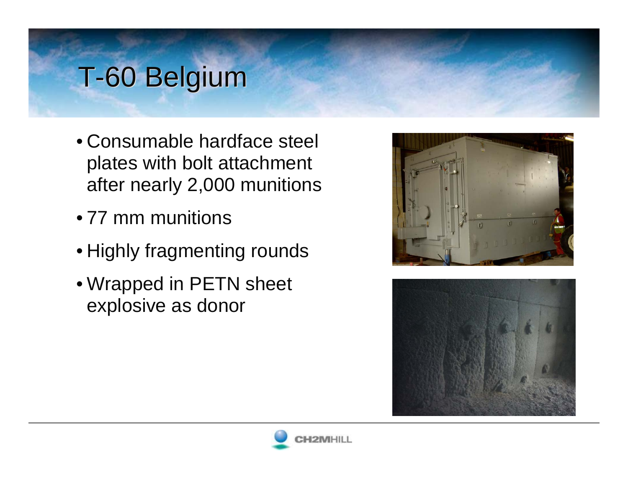## T-60 Belgium

- Consumable hardface steel plates with bolt attachment after nearly 2,000 munitions
- 77 mm munitions
- Highly fragmenting rounds
- Wrapped in PETN sheet explosive as donor





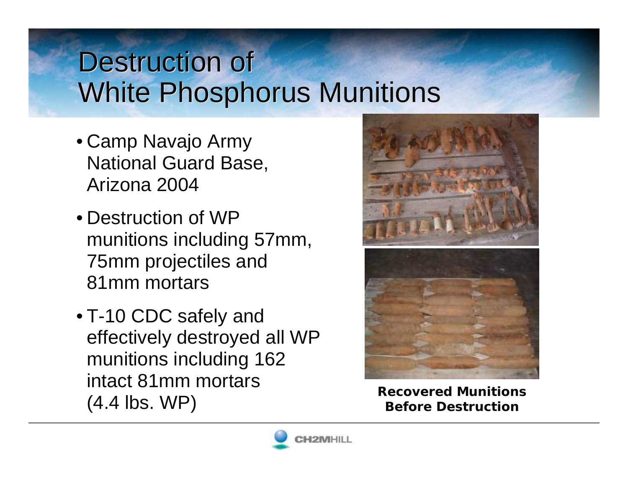#### Destruction of Destruction of White Phosphorus Munitions White Phosphorus Munitions

- Camp Navajo Army National Guard Base, Arizona 2004
- Destruction of WP munitions including 57mm, 75mm projectiles and 81mm mortars
- T-10 CDC safely and effectively destroyed all WP munitions including 162 intact 81mm mortars (4.4 lbs. WP) **Recovered Munitions Before Destruction**





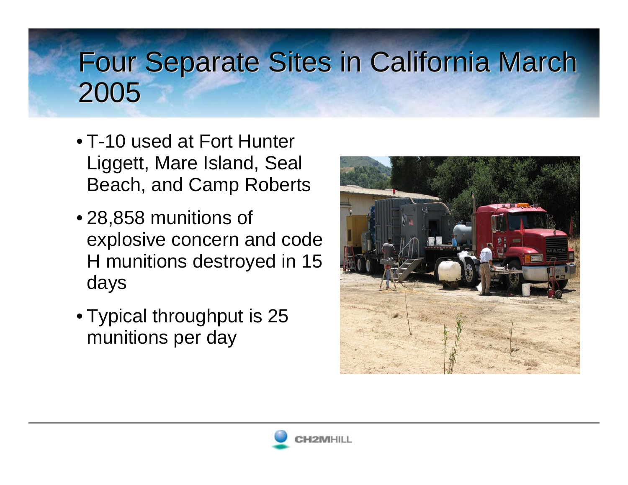# Four Separate Sites in California March Four Separate Sites in California March 2005 2005

- T-10 used at Fort Hunter Liggett, Mare Island, Seal Beach, and Camp Roberts
- 28,858 munitions of explosive concern and code H munitions destroyed in 15 days
- Typical throughput is 25 munitions per day



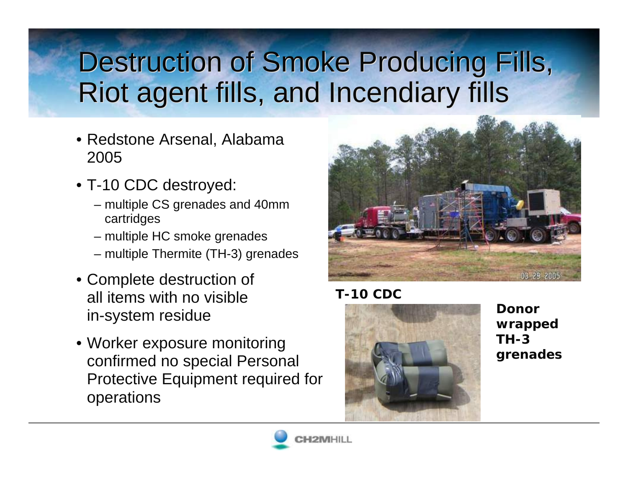# Destruction of Smoke Producing Fills, Destruction of Smoke Producing Fills, Riot agent fills, and Incendiary fills Riot agent fills, and Incendiary fills

- Redstone Arsenal, Alabama 2005
- T-10 CDC destroyed:
	- multiple CS grenades and 40mm cartridges
	- multiple HC smoke grenades
	- multiple Thermite (TH-3) grenades
- Complete destruction of all items with no visible in-system residue
- Worker exposure monitoring confirmed no special Personal Protective Equipment required for operations



#### **T-10 CDC**



**Donor wrapped TH-3 grenades**

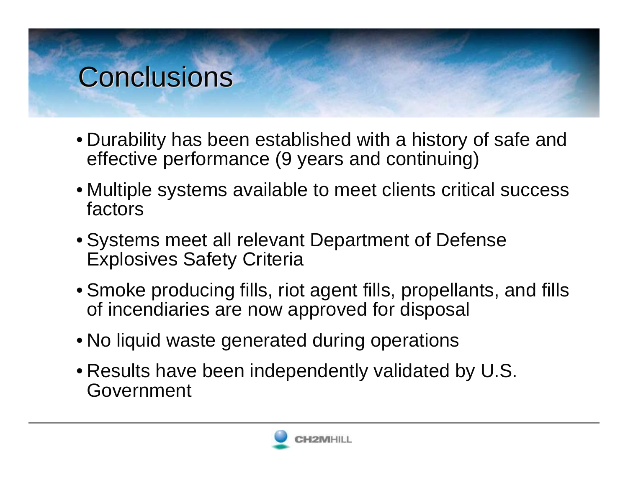#### Conclusions

- Durability has been established with a history of safe and effective performance (9 years and continuing)
- Multiple systems available to meet clients critical success factors
- Systems meet all relevant Department of Defense Explosives Safety Criteria
- Smoke producing fills, riot agent fills, propellants, and fills of incendiaries are now approved for disposal
- No liquid waste generated during operations
- Results have been independently validated by U.S. Government